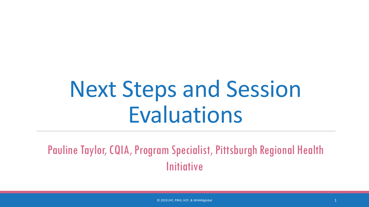# Next Steps and Session Evaluations

Pauline Taylor, CQIA, Program Specialist, Pittsburgh Regional Health **Initiative**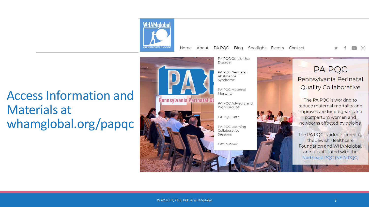

Home About PA PQC Blog Spotlight Events Contact

 $\Box$   $\Box$ 

#### Access Information and Materials at whamglobal.org/papqc

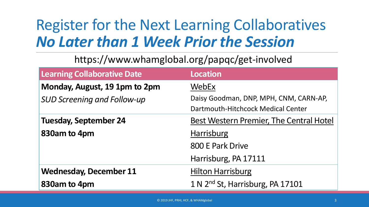## Register for the Next Learning Collaboratives *No Later than 1 Week Prior the Session*

#### https://www.whamglobal.org/papqc/get-involved

| <b>Learning Collaborative Date</b> | <b>Location</b>                              |
|------------------------------------|----------------------------------------------|
| Monday, August, 19 1pm to 2pm      | <b>WebEx</b>                                 |
| <b>SUD Screening and Follow-up</b> | Daisy Goodman, DNP, MPH, CNM, CARN-AP,       |
|                                    | Dartmouth-Hitchcock Medical Center           |
| <b>Tuesday, September 24</b>       | Best Western Premier, The Central Hotel      |
| 830am to 4pm                       | <b>Harrisburg</b>                            |
|                                    | 800 E Park Drive                             |
|                                    | Harrisburg, PA 17111                         |
| <b>Wednesday, December 11</b>      | <b>Hilton Harrisburg</b>                     |
| 830am to 4pm                       | 1 N 2 <sup>nd</sup> St, Harrisburg, PA 17101 |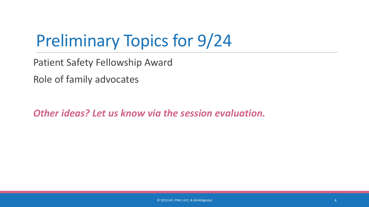# Preliminary Topics for 9/24

Patient Safety Fellowship Award

Role of family advocates

*Other ideas? Let us know via the session evaluation.*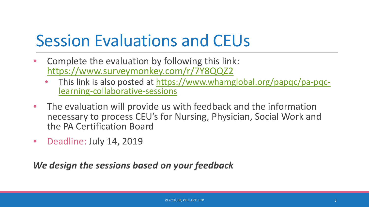# Session Evaluations and CEUs

- Complete the evaluation by following this link: <https://www.surveymonkey.com/r/7Y8QQZ2>
	- [This link is also posted at https://www.whamglobal.org/papqc/pa-pqc-](https://www.whamglobal.org/papqc/pa-pqc-learning-collaborative-sessions)<br>learning-collaborative-sessions
- The evaluation will provide us with feedback and the information necessary to process CEU's for Nursing, Physician, Social Work and the PA Certification Board
- Deadline: July 14, 2019

*We design the sessions based on your feedback*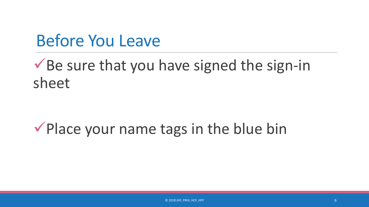## Before You Leave

#### $\checkmark$  Be sure that you have signed the sign-in sheet

### $\checkmark$  Place your name tags in the blue bin